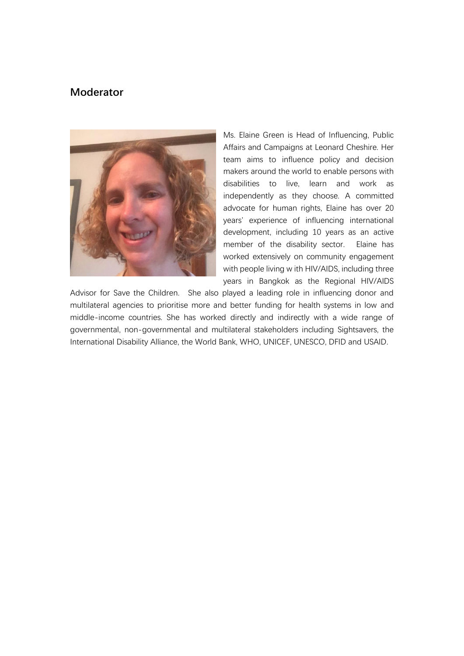# **Moderator**



Ms. Elaine Green is Head of Influencing, Public Affairs and Campaigns at Leonard Cheshire. Her team aims to influence policy and decision makers around the world to enable persons with disabilities to live, learn and work as independently as they choose. A committed advocate for human rights, Elaine has over 20 years' experience of influencing international development, including 10 years as an active member of the disability sector. Elaine has worked extensively on community engagement with people living w ith HIV/AIDS, including three years in Bangkok as the Regional HIV/AIDS

Advisor for Save the Children. She also played a leading role in influencing donor and multilateral agencies to prioritise more and better funding for health systems in low and middle-income countries. She has worked directly and indirectly with a wide range of governmental, non-governmental and multilateral stakeholders including Sightsavers, the International Disability Alliance, the World Bank, WHO, UNICEF, UNESCO, DFID and USAID.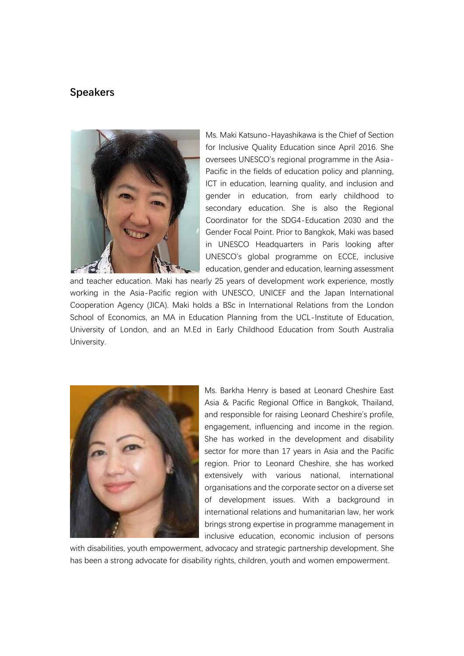

Ms. Maki Katsuno-Hayashikawa is the Chief of Section for Inclusive Quality Education since April 2016. She oversees UNESCO's regional programme in the Asia-Pacific in the fields of education policy and planning, ICT in education, learning quality, and inclusion and gender in education, from early childhood to secondary education. She is also the Regional Coordinator for the SDG4-Education 2030 and the Gender Focal Point. Prior to Bangkok, Maki was based in UNESCO Headquarters in Paris looking after UNESCO's global programme on ECCE, inclusive education, gender and education, learning assessment

and teacher education. Maki has nearly 25 years of development work experience, mostly working in the Asia-Pacific region with UNESCO, UNICEF and the Japan International Cooperation Agency (JICA). Maki holds a BSc in International Relations from the London School of Economics, an MA in Education Planning from the UCL-Institute of Education, University of London, and an M.Ed in Early Childhood Education from South Australia University.



Ms. Barkha Henry is based at Leonard Cheshire East Asia & Pacific Regional Office in Bangkok, Thailand, and responsible for raising Leonard Cheshire's profile, engagement, influencing and income in the region. She has worked in the development and disability sector for more than 17 years in Asia and the Pacific region. Prior to Leonard Cheshire, she has worked extensively with various national, international organisations and the corporate sector on a diverse set of development issues. With a background in international relations and humanitarian law, her work brings strong expertise in programme management in inclusive education, economic inclusion of persons

with disabilities, youth empowerment, advocacy and strategic partnership development. She has been a strong advocate for disability rights, children, youth and women empowerment.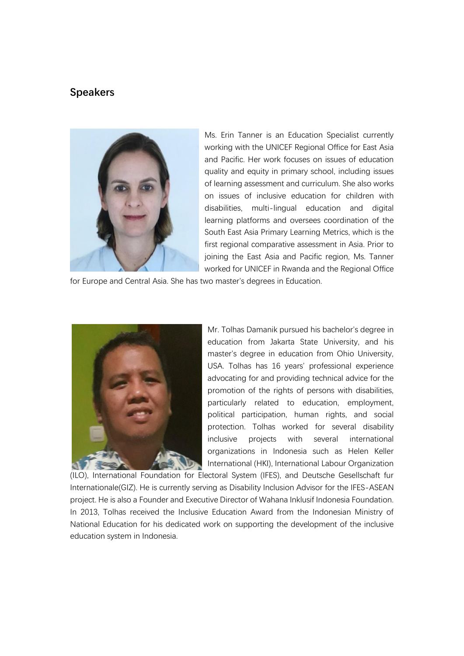

Ms. Erin Tanner is an Education Specialist currently working with the UNICEF Regional Office for East Asia and Pacific. Her work focuses on issues of education quality and equity in primary school, including issues of learning assessment and curriculum. She also works on issues of inclusive education for children with disabilities, multi-lingual education and digital learning platforms and oversees coordination of the South East Asia Primary Learning Metrics, which is the first regional comparative assessment in Asia. Prior to joining the East Asia and Pacific region, Ms. Tanner worked for UNICEF in Rwanda and the Regional Office

for Europe and Central Asia. She has two master's degrees in Education.



Mr. Tolhas Damanik pursued his bachelor's degree in education from Jakarta State University, and his master's degree in education from Ohio University, USA. Tolhas has 16 years' professional experience advocating for and providing technical advice for the promotion of the rights of persons with disabilities, particularly related to education, employment, political participation, human rights, and social protection. Tolhas worked for several disability inclusive projects with several international organizations in Indonesia such as Helen Keller International (HKI), International Labour Organization

(ILO), International Foundation for Electoral System (IFES), and Deutsche Gesellschaft fur Internationale(GIZ). He is currently serving as Disability Inclusion Advisor for the IFES-ASEAN project. He is also a Founder and Executive Director of Wahana Inklusif Indonesia Foundation. In 2013, Tolhas received the Inclusive Education Award from the Indonesian Ministry of National Education for his dedicated work on supporting the development of the inclusive education system in Indonesia.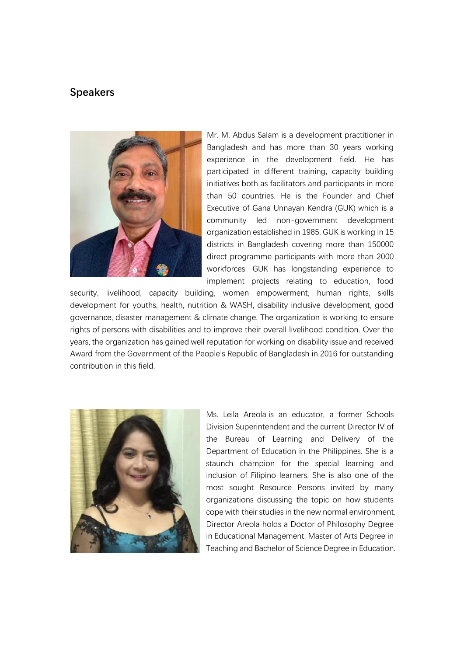

Mr. M. Abdus Salam is a development practitioner in Bangladesh and has more than 30 years working experience in the development field. He has participated in different training, capacity building initiatives both as facilitators and participants in more than 50 countries. He is the Founder and Chief Executive of Gana Unnayan Kendra (GUK) which is a community led non-government development organization established in 1985. GUK is working in 15 districts in Bangladesh covering more than 150000 direct programme participants with more than 2000 workforces. GUK has longstanding experience to implement projects relating to education, food

security, livelihood, capacity building, women empowerment, human rights, skills development for youths, health, nutrition & WASH, disability inclusive development, good governance, disaster management & climate change. The organization is working to ensure rights of persons with disabilities and to improve their overall livelihood condition. Over the years, the organization has gained well reputation for working on disability issue and received Award from the Government of the People's Republic of Bangladesh in 2016 for outstanding contribution in this field.



Ms. Leila Areola is an educator, a former Schools Division Superintendent and the current Director IV of the Bureau of Learning and Delivery of the Department of Education in the Philippines. She is a staunch champion for the special learning and inclusion of Filipino learners. She is also one of the most sought Resource Persons invited by many organizations discussing the topic on how students cope with their studies in the new normal environment. Director Areola holds a Doctor of Philosophy Degree in Educational Management, Master of Arts Degree in Teaching and Bachelor of Science Degree in Education.